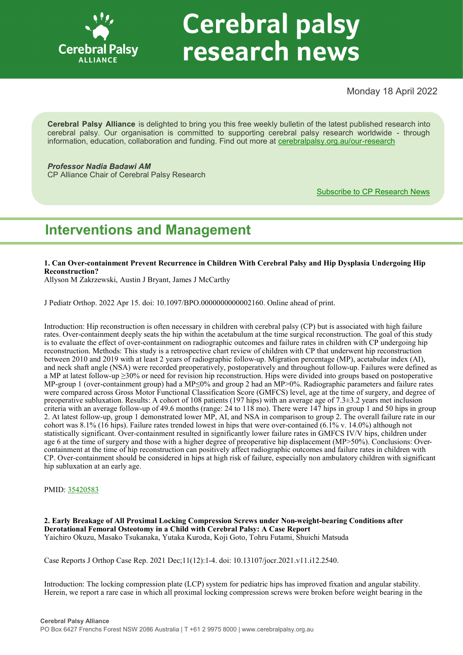

# **Cerebral palsy** research news

Monday 18 April 2022

**Cerebral Palsy Alliance** is delighted to bring you this free weekly bulletin of the latest published research into cerebral palsy. Our organisation is committed to supporting cerebral palsy research worldwide - through information, education, collaboration and funding. Find out more at [cerebralpalsy.org.au/our](https://cerebralpalsy.org.au/our-research/)-research

*Professor Nadia Badawi AM* CP Alliance Chair of Cerebral Palsy Research

[Subscribe to CP Research News](https://cerebralpalsy.org.au/our-research/get-involved-research/cp-research-newsletters/)

# **Interventions and Management**

**1. Can Over-containment Prevent Recurrence in Children With Cerebral Palsy and Hip Dysplasia Undergoing Hip Reconstruction?**

Allyson M Zakrzewski, Austin J Bryant, James J McCarthy

J Pediatr Orthop. 2022 Apr 15. doi: 10.1097/BPO.0000000000002160. Online ahead of print.

Introduction: Hip reconstruction is often necessary in children with cerebral palsy (CP) but is associated with high failure rates. Over-containment deeply seats the hip within the acetabulum at the time surgical reconstruction. The goal of this study is to evaluate the effect of over-containment on radiographic outcomes and failure rates in children with CP undergoing hip reconstruction. Methods: This study is a retrospective chart review of children with CP that underwent hip reconstruction between 2010 and 2019 with at least 2 years of radiographic follow-up. Migration percentage (MP), acetabular index (AI), and neck shaft angle (NSA) were recorded preoperatively, postoperatively and throughout follow-up. Failures were defined as a MP at latest follow-up ≥30% or need for revision hip reconstruction. Hips were divided into groups based on postoperative MP-group 1 (over-containment group) had a MP≤0% and group 2 had an MP>0%. Radiographic parameters and failure rates were compared across Gross Motor Functional Classification Score (GMFCS) level, age at the time of surgery, and degree of preoperative subluxation. Results: A cohort of 108 patients (197 hips) with an average age of 7.3±3.2 years met inclusion criteria with an average follow-up of 49.6 months (range: 24 to 118 mo). There were 147 hips in group 1 and 50 hips in group 2. At latest follow-up, group 1 demonstrated lower MP, AI, and NSA in comparison to group 2. The overall failure rate in our cohort was 8.1% (16 hips). Failure rates trended lowest in hips that were over-contained (6.1% v. 14.0%) although not statistically significant. Over-containment resulted in significantly lower failure rates in GMFCS IV/V hips, children under age 6 at the time of surgery and those with a higher degree of preoperative hip displacement (MP>50%). Conclusions: Overcontainment at the time of hip reconstruction can positively affect radiographic outcomes and failure rates in children with CP. Over-containment should be considered in hips at high risk of failure, especially non ambulatory children with significant hip subluxation at an early age.

PMID: [35420583](http://www.ncbi.nlm.nih.gov/pubmed/35420583)

**2. Early Breakage of All Proximal Locking Compression Screws under Non-weight-bearing Conditions after Derotational Femoral Osteotomy in a Child with Cerebral Palsy: A Case Report** Yaichiro Okuzu, Masako Tsukanaka, Yutaka Kuroda, Koji Goto, Tohru Futami, Shuichi Matsuda

Case Reports J Orthop Case Rep. 2021 Dec;11(12):1-4. doi: 10.13107/jocr.2021.v11.i12.2540.

Introduction: The locking compression plate (LCP) system for pediatric hips has improved fixation and angular stability. Herein, we report a rare case in which all proximal locking compression screws were broken before weight bearing in the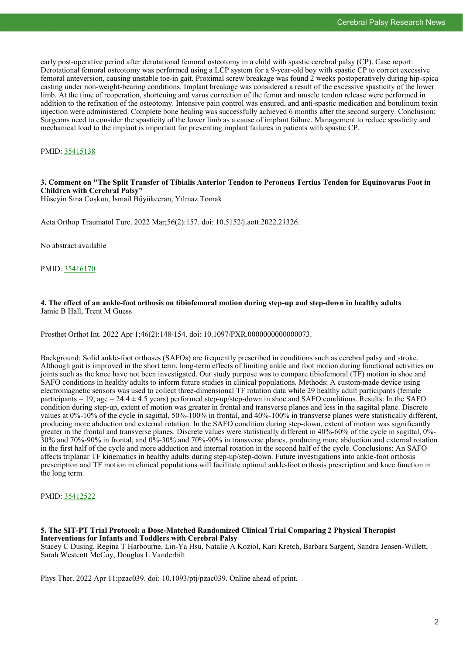early post-operative period after derotational femoral osteotomy in a child with spastic cerebral palsy (CP). Case report: Derotational femoral osteotomy was performed using a LCP system for a 9-year-old boy with spastic CP to correct excessive femoral anteversion, causing unstable toe-in gait. Proximal screw breakage was found 2 weeks postoperatively during hip-spica casting under non-weight-bearing conditions. Implant breakage was considered a result of the excessive spasticity of the lower limb. At the time of reoperation, shortening and varus correction of the femur and muscle tendon release were performed in addition to the refixation of the osteotomy. Intensive pain control was ensured, and anti-spastic medication and botulinum toxin injection were administered. Complete bone healing was successfully achieved 6 months after the second surgery. Conclusion: Surgeons need to consider the spasticity of the lower limb as a cause of implant failure. Management to reduce spasticity and mechanical load to the implant is important for preventing implant failures in patients with spastic CP.

PMID: [35415138](http://www.ncbi.nlm.nih.gov/pubmed/35415138)

#### **3. Comment on "The Split Transfer of Tibialis Anterior Tendon to Peroneus Tertius Tendon for Equinovarus Foot in Children with Cerebral Palsy"**

Hüseyin Sina Coşkun, İsmail Büyükceran, Yılmaz Tomak

Acta Orthop Traumatol Turc. 2022 Mar;56(2):157. doi: 10.5152/j.aott.2022.21326.

No abstract available

PMID: [35416170](http://www.ncbi.nlm.nih.gov/pubmed/35416170)

#### **4. The effect of an ankle-foot orthosis on tibiofemoral motion during step-up and step-down in healthy adults** Jamie B Hall, Trent M Guess

Prosthet Orthot Int. 2022 Apr 1;46(2):148-154. doi: 10.1097/PXR.0000000000000073.

Background: Solid ankle-foot orthoses (SAFOs) are frequently prescribed in conditions such as cerebral palsy and stroke. Although gait is improved in the short term, long-term effects of limiting ankle and foot motion during functional activities on joints such as the knee have not been investigated. Our study purpose was to compare tibiofemoral (TF) motion in shoe and SAFO conditions in healthy adults to inform future studies in clinical populations. Methods: A custom-made device using electromagnetic sensors was used to collect three-dimensional TF rotation data while 29 healthy adult participants (female participants  $= 19$ , age  $= 24.4 \pm 4.5$  years) performed step-up/step-down in shoe and SAFO conditions. Results: In the SAFO condition during step-up, extent of motion was greater in frontal and transverse planes and less in the sagittal plane. Discrete values at 0%-10% of the cycle in sagittal, 50%-100% in frontal, and 40%-100% in transverse planes were statistically different, producing more abduction and external rotation. In the SAFO condition during step-down, extent of motion was significantly greater in the frontal and transverse planes. Discrete values were statistically different in 40%-60% of the cycle in sagittal, 0%- 30% and 70%-90% in frontal, and 0%-30% and 70%-90% in transverse planes, producing more abduction and external rotation in the first half of the cycle and more adduction and internal rotation in the second half of the cycle. Conclusions: An SAFO affects triplanar TF kinematics in healthy adults during step-up/step-down. Future investigations into ankle-foot orthosis prescription and TF motion in clinical populations will facilitate optimal ankle-foot orthosis prescription and knee function in the long term.

PMID: [35412522](http://www.ncbi.nlm.nih.gov/pubmed/35412522)

### **5. The SIT-PT Trial Protocol: a Dose-Matched Randomized Clinical Trial Comparing 2 Physical Therapist Interventions for Infants and Toddlers with Cerebral Palsy**

Stacey C Dusing, Regina T Harbourne, Lin-Ya Hsu, Natalie A Koziol, Kari Kretch, Barbara Sargent, Sandra Jensen-Willett, Sarah Westcott McCoy, Douglas L Vanderbilt

Phys Ther. 2022 Apr 11;pzac039. doi: 10.1093/ptj/pzac039. Online ahead of print.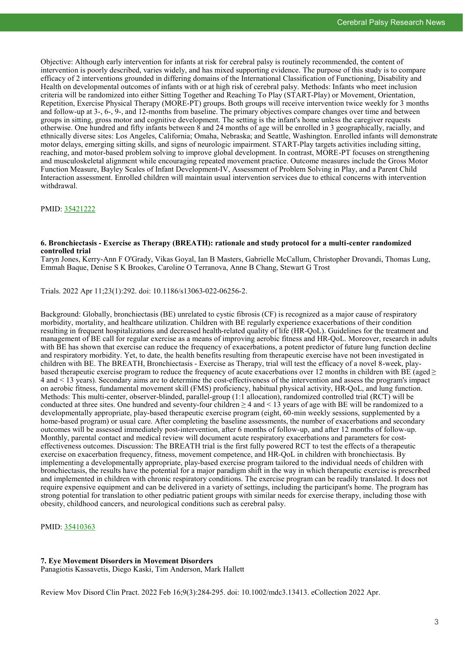Objective: Although early intervention for infants at risk for cerebral palsy is routinely recommended, the content of intervention is poorly described, varies widely, and has mixed supporting evidence. The purpose of this study is to compare efficacy of 2 interventions grounded in differing domains of the International Classification of Functioning, Disability and Health on developmental outcomes of infants with or at high risk of cerebral palsy. Methods: Infants who meet inclusion criteria will be randomized into either Sitting Together and Reaching To Play (START-Play) or Movement, Orientation, Repetition, Exercise Physical Therapy (MORE-PT) groups. Both groups will receive intervention twice weekly for 3 months and follow-up at 3-, 6-, 9-, and 12-months from baseline. The primary objectives compare changes over time and between groups in sitting, gross motor and cognitive development. The setting is the infant's home unless the caregiver requests otherwise. One hundred and fifty infants between 8 and 24 months of age will be enrolled in 3 geographically, racially, and ethnically diverse sites: Los Angeles, California; Omaha, Nebraska; and Seattle, Washington. Enrolled infants will demonstrate motor delays, emerging sitting skills, and signs of neurologic impairment. START-Play targets activities including sitting, reaching, and motor-based problem solving to improve global development. In contrast, MORE-PT focuses on strengthening and musculoskeletal alignment while encouraging repeated movement practice. Outcome measures include the Gross Motor Function Measure, Bayley Scales of Infant Development-IV, Assessment of Problem Solving in Play, and a Parent Child Interaction assessment. Enrolled children will maintain usual intervention services due to ethical concerns with intervention withdrawal.

PMID: [35421222](http://www.ncbi.nlm.nih.gov/pubmed/35421222)

#### **6. Bronchiectasis - Exercise as Therapy (BREATH): rationale and study protocol for a multi-center randomized controlled trial**

Taryn Jones, Kerry-Ann F O'Grady, Vikas Goyal, Ian B Masters, Gabrielle McCallum, Christopher Drovandi, Thomas Lung, Emmah Baque, Denise S K Brookes, Caroline O Terranova, Anne B Chang, Stewart G Trost

Trials. 2022 Apr 11;23(1):292. doi: 10.1186/s13063-022-06256-2.

Background: Globally, bronchiectasis (BE) unrelated to cystic fibrosis (CF) is recognized as a major cause of respiratory morbidity, mortality, and healthcare utilization. Children with BE regularly experience exacerbations of their condition resulting in frequent hospitalizations and decreased health-related quality of life (HR-QoL). Guidelines for the treatment and management of BE call for regular exercise as a means of improving aerobic fitness and HR-QoL. Moreover, research in adults with BE has shown that exercise can reduce the frequency of exacerbations, a potent predictor of future lung function decline and respiratory morbidity. Yet, to date, the health benefits resulting from therapeutic exercise have not been investigated in children with BE. The BREATH, Bronchiectasis - Exercise as Therapy, trial will test the efficacy of a novel 8-week, playbased therapeutic exercise program to reduce the frequency of acute exacerbations over 12 months in children with BE (aged  $\geq$ 4 and < 13 years). Secondary aims are to determine the cost-effectiveness of the intervention and assess the program's impact on aerobic fitness, fundamental movement skill (FMS) proficiency, habitual physical activity, HR-QoL, and lung function. Methods: This multi-center, observer-blinded, parallel-group (1:1 allocation), randomized controlled trial (RCT) will be conducted at three sites. One hundred and seventy-four children  $\geq 4$  and  $\leq 13$  years of age with BE will be randomized to a developmentally appropriate, play-based therapeutic exercise program (eight, 60-min weekly sessions, supplemented by a home-based program) or usual care. After completing the baseline assessments, the number of exacerbations and secondary outcomes will be assessed immediately post-intervention, after 6 months of follow-up, and after 12 months of follow-up. Monthly, parental contact and medical review will document acute respiratory exacerbations and parameters for costeffectiveness outcomes. Discussion: The BREATH trial is the first fully powered RCT to test the effects of a therapeutic exercise on exacerbation frequency, fitness, movement competence, and HR-QoL in children with bronchiectasis. By implementing a developmentally appropriate, play-based exercise program tailored to the individual needs of children with bronchiectasis, the results have the potential for a major paradigm shift in the way in which therapeutic exercise is prescribed and implemented in children with chronic respiratory conditions. The exercise program can be readily translated. It does not require expensive equipment and can be delivered in a variety of settings, including the participant's home. The program has strong potential for translation to other pediatric patient groups with similar needs for exercise therapy, including those with obesity, childhood cancers, and neurological conditions such as cerebral palsy.

PMID: [35410363](http://www.ncbi.nlm.nih.gov/pubmed/35410363)

#### **7. Eye Movement Disorders in Movement Disorders**

Panagiotis Kassavetis, Diego Kaski, Tim Anderson, Mark Hallett

Review Mov Disord Clin Pract. 2022 Feb 16;9(3):284-295. doi: 10.1002/mdc3.13413. eCollection 2022 Apr.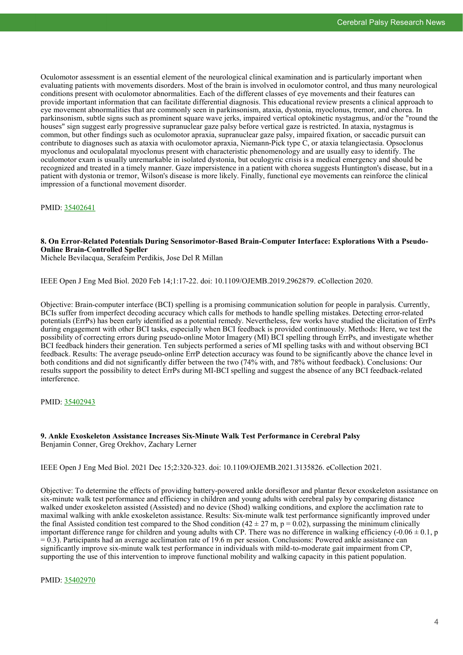Oculomotor assessment is an essential element of the neurological clinical examination and is particularly important when evaluating patients with movements disorders. Most of the brain is involved in oculomotor control, and thus many neurological conditions present with oculomotor abnormalities. Each of the different classes of eye movements and their features can provide important information that can facilitate differential diagnosis. This educational review presents a clinical approach to eye movement abnormalities that are commonly seen in parkinsonism, ataxia, dystonia, myoclonus, tremor, and chorea. In parkinsonism, subtle signs such as prominent square wave jerks, impaired vertical optokinetic nystagmus, and/or the "round the houses" sign suggest early progressive supranuclear gaze palsy before vertical gaze is restricted. In ataxia, nystagmus is common, but other findings such as oculomotor apraxia, supranuclear gaze palsy, impaired fixation, or saccadic pursuit can contribute to diagnoses such as ataxia with oculomotor apraxia, Niemann-Pick type C, or ataxia telangiectasia. Opsoclonus myoclonus and oculopalatal myoclonus present with characteristic phenomenology and are usually easy to identify. The oculomotor exam is usually unremarkable in isolated dystonia, but oculogyric crisis is a medical emergency and should be recognized and treated in a timely manner. Gaze impersistence in a patient with chorea suggests Huntington's disease, but in a patient with dystonia or tremor, Wilson's disease is more likely. Finally, functional eye movements can reinforce the clinical impression of a functional movement disorder.

PMID: [35402641](http://www.ncbi.nlm.nih.gov/pubmed/35402641)

#### **8. On Error-Related Potentials During Sensorimotor-Based Brain-Computer Interface: Explorations With a Pseudo-Online Brain-Controlled Speller**

Michele Bevilacqua, Serafeim Perdikis, Jose Del R Millan

IEEE Open J Eng Med Biol. 2020 Feb 14;1:17-22. doi: 10.1109/OJEMB.2019.2962879. eCollection 2020.

Objective: Brain-computer interface (BCI) spelling is a promising communication solution for people in paralysis. Currently, BCIs suffer from imperfect decoding accuracy which calls for methods to handle spelling mistakes. Detecting error-related potentials (ErrPs) has been early identified as a potential remedy. Nevertheless, few works have studied the elicitation of ErrPs during engagement with other BCI tasks, especially when BCI feedback is provided continuously. Methods: Here, we test the possibility of correcting errors during pseudo-online Motor Imagery (MI) BCI spelling through ErrPs, and investigate whether BCI feedback hinders their generation. Ten subjects performed a series of MI spelling tasks with and without observing BCI feedback. Results: The average pseudo-online ErrP detection accuracy was found to be significantly above the chance level in both conditions and did not significantly differ between the two (74% with, and 78% without feedback). Conclusions: Our results support the possibility to detect ErrPs during MI-BCI spelling and suggest the absence of any BCI feedback-related interference.

#### PMID: [35402943](http://www.ncbi.nlm.nih.gov/pubmed/35402943)

#### **9. Ankle Exoskeleton Assistance Increases Six-Minute Walk Test Performance in Cerebral Palsy** Benjamin Conner, Greg Orekhov, Zachary Lerner

IEEE Open J Eng Med Biol. 2021 Dec 15;2:320-323. doi: 10.1109/OJEMB.2021.3135826. eCollection 2021.

Objective: To determine the effects of providing battery-powered ankle dorsiflexor and plantar flexor exoskeleton assistance on six-minute walk test performance and efficiency in children and young adults with cerebral palsy by comparing distance walked under exoskeleton assisted (Assisted) and no device (Shod) walking conditions, and explore the acclimation rate to maximal walking with ankle exoskeleton assistance. Results: Six-minute walk test performance significantly improved under the final Assisted condition test compared to the Shod condition (42 ± 27 m, p = 0.02), surpassing the minimum clinically important difference range for children and young adults with CP. There was no difference in walking efficiency (-0.06 ± 0.1, p  $= 0.3$ ). Participants had an average acclimation rate of 19.6 m per session. Conclusions: Powered ankle assistance can significantly improve six-minute walk test performance in individuals with mild-to-moderate gait impairment from CP, supporting the use of this intervention to improve functional mobility and walking capacity in this patient population.

PMID: [35402970](http://www.ncbi.nlm.nih.gov/pubmed/35402970)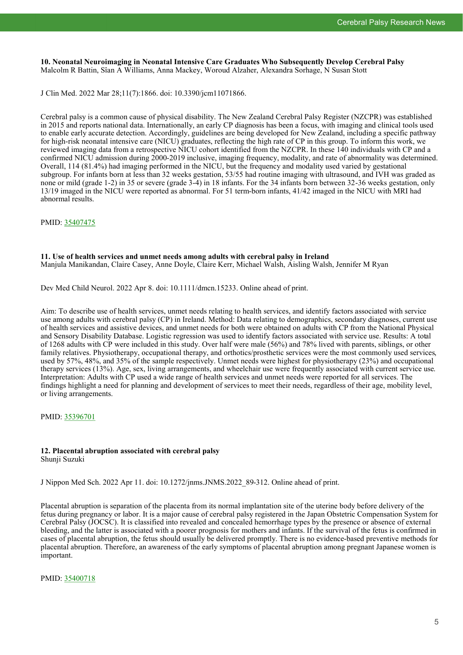**10. Neonatal Neuroimaging in Neonatal Intensive Care Graduates Who Subsequently Develop Cerebral Palsy** Malcolm R Battin, Sîan A Williams, Anna Mackey, Woroud Alzaher, Alexandra Sorhage, N Susan Stott

J Clin Med. 2022 Mar 28;11(7):1866. doi: 10.3390/jcm11071866.

Cerebral palsy is a common cause of physical disability. The New Zealand Cerebral Palsy Register (NZCPR) was established in 2015 and reports national data. Internationally, an early CP diagnosis has been a focus, with imaging and clinical tools used to enable early accurate detection. Accordingly, guidelines are being developed for New Zealand, including a specific pathway for high-risk neonatal intensive care (NICU) graduates, reflecting the high rate of CP in this group. To inform this work, we reviewed imaging data from a retrospective NICU cohort identified from the NZCPR. In these 140 individuals with CP and a confirmed NICU admission during 2000-2019 inclusive, imaging frequency, modality, and rate of abnormality was determined. Overall, 114 (81.4%) had imaging performed in the NICU, but the frequency and modality used varied by gestational subgroup. For infants born at less than 32 weeks gestation, 53/55 had routine imaging with ultrasound, and IVH was graded as none or mild (grade 1-2) in 35 or severe (grade 3-4) in 18 infants. For the 34 infants born between 32-36 weeks gestation, only 13/19 imaged in the NICU were reported as abnormal. For 51 term-born infants, 41/42 imaged in the NICU with MRI had abnormal results.

PMID: [35407475](http://www.ncbi.nlm.nih.gov/pubmed/35407475)

#### **11. Use of health services and unmet needs among adults with cerebral palsy in Ireland**

Manjula Manikandan, Claire Casey, Anne Doyle, Claire Kerr, Michael Walsh, Aisling Walsh, Jennifer M Ryan

Dev Med Child Neurol. 2022 Apr 8. doi: 10.1111/dmcn.15233. Online ahead of print.

Aim: To describe use of health services, unmet needs relating to health services, and identify factors associated with service use among adults with cerebral palsy (CP) in Ireland. Method: Data relating to demographics, secondary diagnoses, current use of health services and assistive devices, and unmet needs for both were obtained on adults with CP from the National Physical and Sensory Disability Database. Logistic regression was used to identify factors associated with service use. Results: A total of 1268 adults with CP were included in this study. Over half were male (56%) and 78% lived with parents, siblings, or other family relatives. Physiotherapy, occupational therapy, and orthotics/prosthetic services were the most commonly used services, used by 57%, 48%, and 35% of the sample respectively. Unmet needs were highest for physiotherapy (23%) and occupational therapy services (13%). Age, sex, living arrangements, and wheelchair use were frequently associated with current service use. Interpretation: Adults with CP used a wide range of health services and unmet needs were reported for all services. The findings highlight a need for planning and development of services to meet their needs, regardless of their age, mobility level, or living arrangements.

PMID: [35396701](http://www.ncbi.nlm.nih.gov/pubmed/35396701)

#### **12. Placental abruption associated with cerebral palsy** Shunji Suzuki

J Nippon Med Sch. 2022 Apr 11. doi: 10.1272/jnms.JNMS.2022\_89-312. Online ahead of print.

Placental abruption is separation of the placenta from its normal implantation site of the uterine body before delivery of the fetus during pregnancy or labor. It is a major cause of cerebral palsy registered in the Japan Obstetric Compensation System for Cerebral Palsy (JOCSC). It is classified into revealed and concealed hemorrhage types by the presence or absence of external bleeding, and the latter is associated with a poorer prognosis for mothers and infants. If the survival of the fetus is confirmed in cases of placental abruption, the fetus should usually be delivered promptly. There is no evidence-based preventive methods for placental abruption. Therefore, an awareness of the early symptoms of placental abruption among pregnant Japanese women is important.

PMID: [35400718](http://www.ncbi.nlm.nih.gov/pubmed/35400718)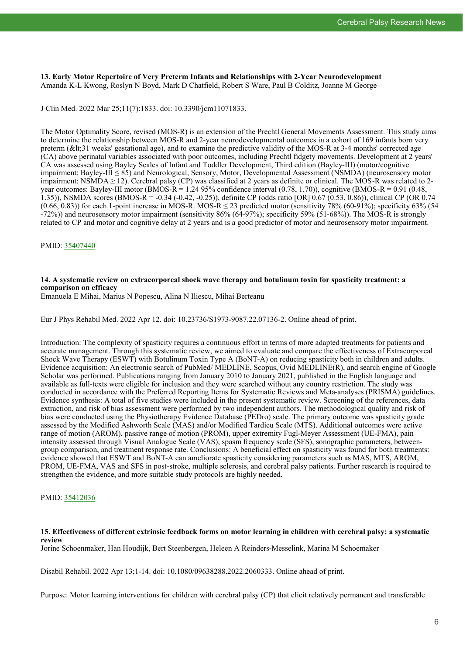**13. Early Motor Repertoire of Very Preterm Infants and Relationships with 2-Year Neurodevelopment** Amanda K-L Kwong, Roslyn N Boyd, Mark D Chatfield, Robert S Ware, Paul B Colditz, Joanne M George

J Clin Med. 2022 Mar 25;11(7):1833. doi: 10.3390/jcm11071833.

The Motor Optimality Score, revised (MOS-R) is an extension of the Prechtl General Movements Assessment. This study aims to determine the relationship between MOS-R and 2-year neurodevelopmental outcomes in a cohort of 169 infants born very preterm  $($ <31 weeks' gestational age), and to examine the predictive validity of the MOS-R at 3-4 months' corrected age (CA) above perinatal variables associated with poor outcomes, including Prechtl fidgety movements. Development at 2 years' CA was assessed using Bayley Scales of Infant and Toddler Development, Third edition (Bayley-III) (motor/cognitive impairment: Bayley-III ≤ 85) and Neurological, Sensory, Motor, Developmental Assessment (NSMDA) (neurosensory motor impairment: NSMDA  $\geq$  12). Cerebral palsy (CP) was classified at 2 years as definite or clinical. The MOS-R was related to 2year outcomes: Bayley-III motor (BMOS-R = 1.24 95% confidence interval  $(0.78, 1.70)$ ), cognitive (BMOS-R = 0.91 (0.48, 1.35)), NSMDA scores (BMOS-R = -0.34 (-0.42, -0.25)), definite CP (odds ratio [OR] 0.67 (0.53, 0.86)), clinical CP (OR 0.74  $(0.66, 0.83)$ ) for each 1-point increase in MOS-R. MOS-R  $\leq$  23 predicted motor (sensitivity 78% (60-91%); specificity 63% (54 -72%)) and neurosensory motor impairment (sensitivity 86% (64-97%); specificity 59% (51-68%)). The MOS-R is strongly related to CP and motor and cognitive delay at 2 years and is a good predictor of motor and neurosensory motor impairment.

PMID: [35407440](http://www.ncbi.nlm.nih.gov/pubmed/35407440)

## **14. A systematic review on extracorporeal shock wave therapy and botulinum toxin for spasticity treatment: a comparison on efficacy**

Emanuela E Mihai, Marius N Popescu, Alina N Iliescu, Mihai Berteanu

Eur J Phys Rehabil Med. 2022 Apr 12. doi: 10.23736/S1973-9087.22.07136-2. Online ahead of print.

Introduction: The complexity of spasticity requires a continuous effort in terms of more adapted treatments for patients and accurate management. Through this systematic review, we aimed to evaluate and compare the effectiveness of Extracorporeal Shock Wave Therapy (ESWT) with Botulinum Toxin Type A (BoNT-A) on reducing spasticity both in children and adults. Evidence acquisition: An electronic search of PubMed/ MEDLINE, Scopus, Ovid MEDLINE(R), and search engine of Google Scholar was performed. Publications ranging from January 2010 to January 2021, published in the English language and available as full-texts were eligible for inclusion and they were searched without any country restriction. The study was conducted in accordance with the Preferred Reporting Items for Systematic Reviews and Meta-analyses (PRISMA) guidelines. Evidence synthesis: A total of five studies were included in the present systematic review. Screening of the references, data extraction, and risk of bias assessment were performed by two independent authors. The methodological quality and risk of bias were conducted using the Physiotherapy Evidence Database (PEDro) scale. The primary outcome was spasticity grade assessed by the Modified Ashworth Scale (MAS) and/or Modified Tardieu Scale (MTS). Additional outcomes were active range of motion (AROM), passive range of motion (PROM), upper extremity Fugl-Meyer Assessment (UE-FMA), pain intensity assessed through Visual Analogue Scale (VAS), spasm frequency scale (SFS), sonographic parameters, betweengroup comparison, and treatment response rate. Conclusions: A beneficial effect on spasticity was found for both treatments: evidence showed that ESWT and BoNT-A can ameliorate spasticity considering parameters such as MAS, MTS, AROM, PROM, UE-FMA, VAS and SFS in post-stroke, multiple sclerosis, and cerebral palsy patients. Further research is required to strengthen the evidence, and more suitable study protocols are highly needed.

#### PMID: [35412036](http://www.ncbi.nlm.nih.gov/pubmed/35412036)

#### **15. Effectiveness of different extrinsic feedback forms on motor learning in children with cerebral palsy: a systematic review**

Jorine Schoenmaker, Han Houdijk, Bert Steenbergen, Heleen A Reinders-Messelink, Marina M Schoemaker

Disabil Rehabil. 2022 Apr 13;1-14. doi: 10.1080/09638288.2022.2060333. Online ahead of print.

Purpose: Motor learning interventions for children with cerebral palsy (CP) that elicit relatively permanent and transferable